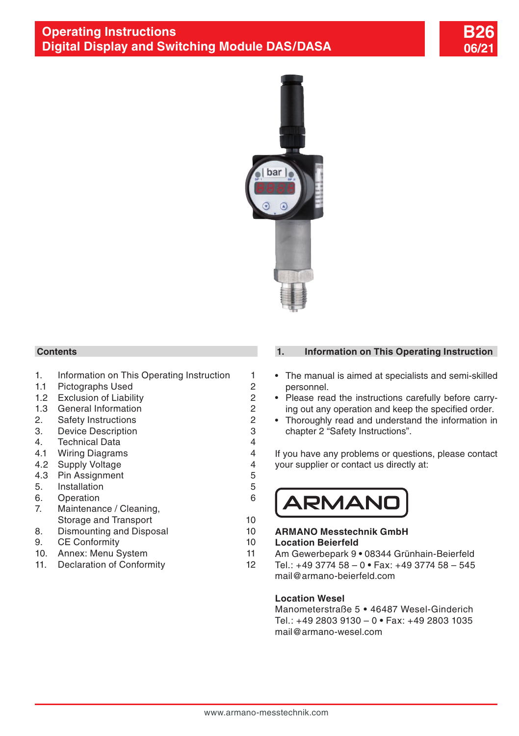



#### **Contents**

- 1. Information on This Operating Instruction 1
- 1.1 [Pictographs Used](#page-1-0) 2
- 1.2 [Exclusion of Liability](#page-1-0) 2
- [1.3 General Information](#page-1-0) 2
- 2. [Safety Instructions](#page-1-0) 2
- 3. [Device Description](#page-2-0) 3
- 4. [Technical Data](#page-3-0) 4
- 4.1 [Wiring Diagrams](#page-3-0) 4
- 4.2 [Supply Voltage](#page-3-0) 4
- 4.3 [Pin Assignment](#page-4-0) 5
- 5. [Installation](#page-4-0) 5
- [6. Operation](#page-5-0) 6
- [7. Maintenance / Cleaning,](#page-9-0) [Storage and Transport](#page-9-0) 10
- 8. [Dismounting and Disposal](#page-9-0) 10
- 9. [CE Conformity](#page-9-0) 10
- [10. Annex: Menu System](#page-10-0) 11
- 11. [Declaration of Conformity](#page-11-0) 12

#### **1. Information on This Operating Instruction**

- The manual is aimed at specialists and semi-skilled personnel.
- Please read the instructions carefully before carrying out any operation and keep the specified order.
- Thoroughly read and understand the information in chapter 2 "Safety Instructions".

If you have any problems or questions, please contact your supplier or contact us directly at:



#### **ARMANO Messtechnik GmbH**

#### **Location Beierfeld**

- Am Gewerbepark 9 **•** 08344 Grünhain-Beierfeld
- Tel.: +49 3774 58 0 **•** Fax: +49 3774 58 545 mail@armano-beierfeld.com

#### **Location Wesel**

Manometerstraße 5 **•** 46487 Wesel-Ginderich Tel.: +49 2803 9130 – 0 **•** Fax: +49 2803 1035 mail@armano-wesel.com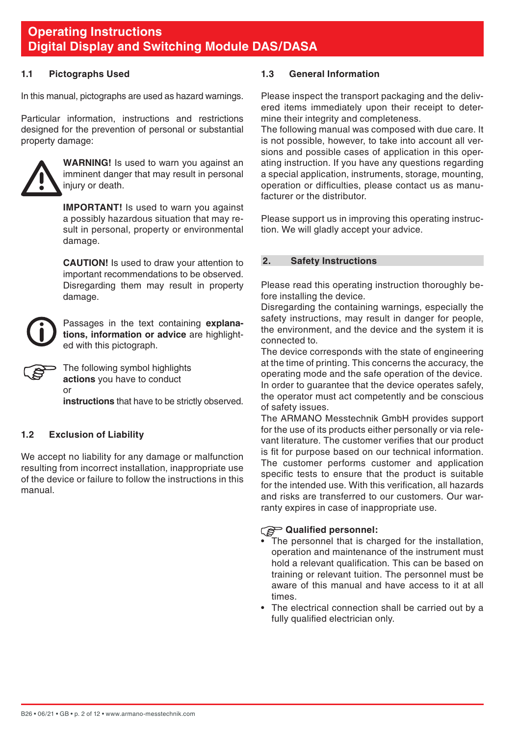#### <span id="page-1-0"></span>**1.1 Pictographs Used**

In this manual, pictographs are used as hazard warnings.

Particular information, instructions and restrictions designed for the prevention of personal or substantial property damage:



**WARNING!** Is used to warn you against an imminent danger that may result in personal injury or death.

**IMPORTANT!** Is used to warn you against a possibly hazardous situation that may result in personal, property or environmental damage.

 **CAUTION!** Is used to draw your attention to important recommendations to be observed. Disregarding them may result in property damage.



Passages in the text containing **explanations, information or advice** are highlighted with this pictograph.



The following symbol highlights **actions** you have to conduct or

**instructions** that have to be strictly observed.

#### **1.2 Exclusion of Liability**

We accept no liability for any damage or malfunction resulting from incorrect installation, inappropriate use of the device or failure to follow the instructions in this manual.

#### **1.3 General Information**

Please inspect the transport packaging and the delivered items immediately upon their receipt to determine their integrity and completeness.

The following manual was composed with due care. It is not possible, however, to take into account all versions and possible cases of application in this operating instruction. If you have any questions regarding a special application, instruments, storage, mounting, operation or difficulties, please contact us as manufacturer or the distributor.

Please support us in improving this operating instruction. We will gladly accept your advice.

#### **2. Safety Instructions**

Please read this operating instruction thoroughly before installing the device.

Disregarding the containing warnings, especially the safety instructions, may result in danger for people, the environment, and the device and the system it is connected to.

The device corresponds with the state of engineering at the time of printing. This concerns the accuracy, the operating mode and the safe operation of the device. In order to guarantee that the device operates safely, the operator must act competently and be conscious of safety issues.

The ARMANO Messtechnik GmbH provides support for the use of its products either personally or via relevant literature. The customer verifies that our product is fit for purpose based on our technical information. The customer performs customer and application specific tests to ensure that the product is suitable for the intended use. With this verification, all hazards and risks are transferred to our customers. Our warranty expires in case of inappropriate use.

#### **Qualified personnel:**

- The personnel that is charged for the installation, operation and maintenance of the instrument must hold a relevant qualification. This can be based on training or relevant tuition. The personnel must be aware of this manual and have access to it at all times.
- The electrical connection shall be carried out by a fully qualified electrician only.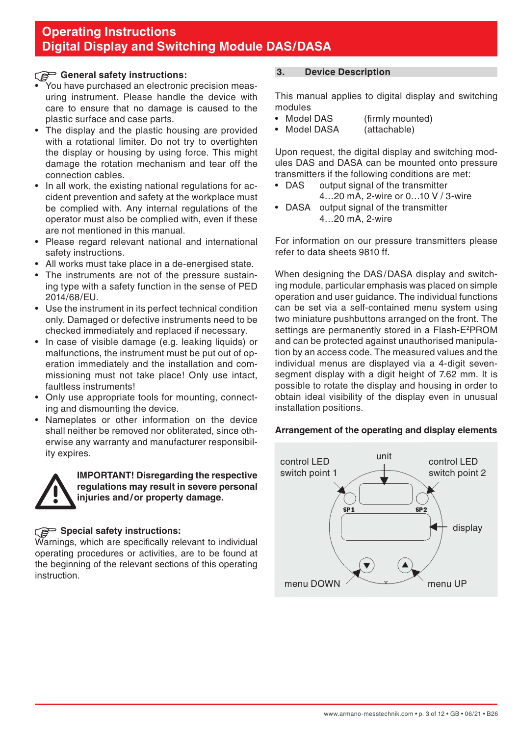### <span id="page-2-0"></span>General safety instructions:

- You have purchased an electronic precision measuring instrument. Please handle the device with care to ensure that no damage is caused to the plastic surface and case parts.
- The display and the plastic housing are provided with a rotational limiter. Do not try to overtighten the display or housing by using force. This might damage the rotation mechanism and tear off the connection cables.
- In all work, the existing national regulations for accident prevention and safety at the workplace must be complied with. Any internal regulations of the operator must also be complied with, even if these are not mentioned in this manual.
- Please regard relevant national and international safety instructions.
- All works must take place in a de-energised state.
- The instruments are not of the pressure sustaining type with a safety function in the sense of PED 2014/68/EU.
- Use the instrument in its perfect technical condition only. Damaged or defective instruments need to be checked immediately and replaced if necessary.
- In case of visible damage (e.g. leaking liquids) or malfunctions, the instrument must be put out of operation immediately and the installation and commissioning must not take place! Only use intact, faultless instruments!
- Only use appropriate tools for mounting, connecting and dismounting the device.
- Nameplates or other information on the device shall neither be removed nor obliterated, since otherwise any warranty and manufacturer responsibility expires.



**IMPORTANT! Disregarding the respective regulations may result in severe personal injuries and/or property damage.**

#### **Special safety instructions:**

Warnings, which are specifically relevant to individual operating procedures or activities, are to be found at the beginning of the relevant sections of this operating instruction.

#### **3. Device Description**

This manual applies to digital display and switching modules<br>• Model DAS

- (firmly mounted)<br>(attachable)
- Model DASA

Upon request, the digital display and switching modules DAS and DASA can be mounted onto pressure transmitters if the following conditions are met:<br>• DAS output signal of the transmitter

- output signal of the transmitter 4…20 mA, 2-wire or 0…10 V / 3-wire
- DASA output signal of the transmitter 4…20 mA, 2-wire

For information on our pressure transmitters please refer to data sheets 9810 ff.

When designing the DAS/DASA display and switching module, particular emphasis was placed on simple operation and user guidance. The individual functions can be set via a self-contained menu system using two miniature pushbuttons arranged on the front. The settings are permanently stored in a Flash-E<sup>2</sup>PROM and can be protected against unauthorised manipulation by an access code. The measured values and the individual menus are displayed via a 4-digit sevensegment display with a digit height of 7.62 mm. It is possible to rotate the display and housing in order to obtain ideal visibility of the display even in unusual installation positions.

#### **Arrangement of the operating and display elements**

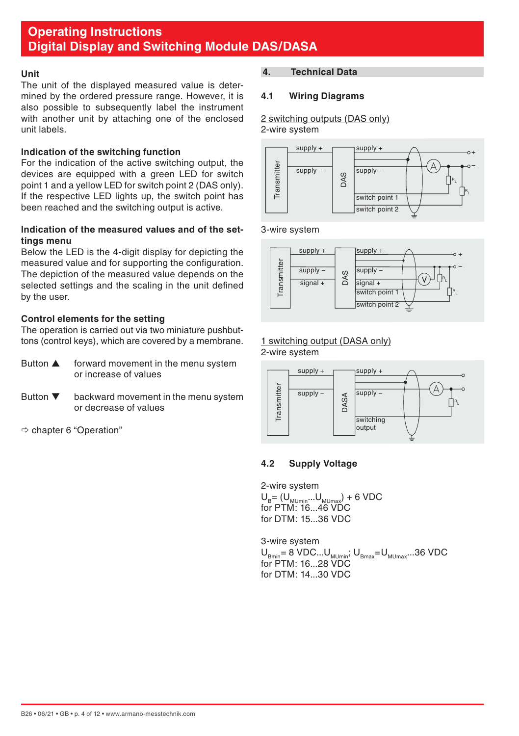#### <span id="page-3-0"></span>**Unit**

The unit of the displayed measured value is determined by the ordered pressure range. However, it is also possible to subsequently label the instrument with another unit by attaching one of the enclosed unit labels.

#### **Indication of the switching function**

For the indication of the active switching output, the devices are equipped with a green LED for switch point 1 and a yellow LED for switch point 2 (DAS only). If the respective LED lights up, the switch point has been reached and the switching output is active.

#### **Indication of the measured values and of the settings menu**

Below the LED is the 4-digit display for depicting the measured value and for supporting the configuration. The depiction of the measured value depends on the selected settings and the scaling in the unit defined by the user.

#### **Control elements for the setting**

The operation is carried out via two miniature pushbuttons (control keys), which are covered by a membrane.

- Button  $\blacktriangle$  forward movement in the menu system or increase of values
- Button  $\nabla$  backward movement in the menu system or decrease of values

chapter 6 "Operation"

#### **4. Technical Data**

#### **4.1 Wiring Diagrams**

2 switching outputs (DAS only) 2-wire system



#### 3-wire system



# 1 switching output (DASA only)

2-wire system



#### **4.2 Supply Voltage**

2-wire system  $U_B = (U_{MUmin}...U_{MUmax}) + 6 \text{ VDC}$  $for$  PTM:  $16.16$  VDC for DTM: 15...36 VDC

3-wire system  $U_{Bmin} = 8 \text{ VDC} \dots U_{MUmin}$ ;  $U_{Bmax} = U_{MUmax} \dots 36 \text{ VDC}$ for PTM: 16...28 VDC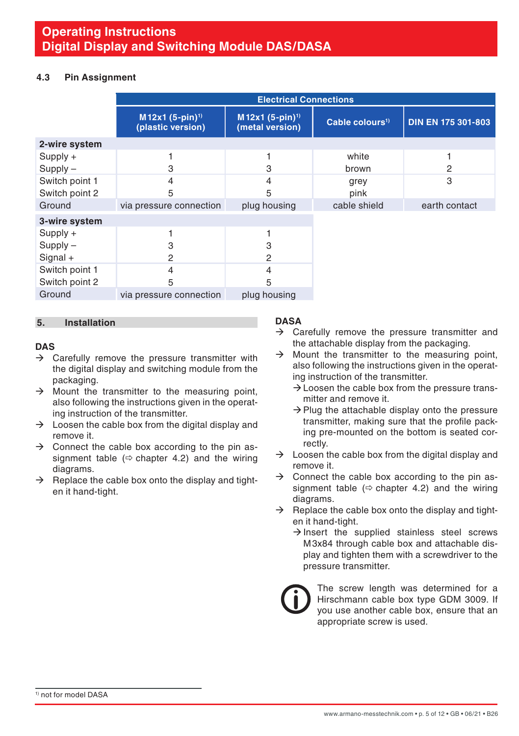#### <span id="page-4-0"></span>**4.3 Pin Assignment**

|                | <b>Electrical Connections</b>                    |                                                |                             |                           |
|----------------|--------------------------------------------------|------------------------------------------------|-----------------------------|---------------------------|
|                | M12x1 (5-pin) <sup>1)</sup><br>(plastic version) | M12x1 (5-pin) <sup>1)</sup><br>(metal version) | Cable colours <sup>1)</sup> | <b>DIN EN 175 301-803</b> |
| 2-wire system  |                                                  |                                                |                             |                           |
| $Supply +$     |                                                  |                                                | white                       |                           |
| $Supply -$     | З                                                | 3                                              | brown                       | 2                         |
| Switch point 1 | 4                                                | 4                                              | grey                        | 3                         |
| Switch point 2 | 5                                                | 5                                              | pink                        |                           |
| Ground         | via pressure connection                          | plug housing                                   | cable shield                | earth contact             |
| 3-wire system  |                                                  |                                                |                             |                           |
| $Supply +$     |                                                  |                                                |                             |                           |
| $Supply -$     | 3                                                | 3                                              |                             |                           |
| $Signal +$     | 2                                                | 2                                              |                             |                           |
| Switch point 1 | 4                                                | 4                                              |                             |                           |
| Switch point 2 | 5                                                | 5                                              |                             |                           |
| Ground         | via pressure connection                          | plug housing                                   |                             |                           |

#### **5. Installation**

#### **DAS**

- $\rightarrow$  Carefully remove the pressure transmitter with the digital display and switching module from the packaging.
- $\rightarrow$  Mount the transmitter to the measuring point, also following the instructions given in the operating instruction of the transmitter.
- $\rightarrow$  Loosen the cable box from the digital display and remove it.
- $\rightarrow$  Connect the cable box according to the pin assignment table ( $\Leftrightarrow$  chapter 4.2) and the wiring diagrams.
- $\rightarrow$  Replace the cable box onto the display and tighten it hand-tight.

#### **DASA**

- $\rightarrow$  Carefully remove the pressure transmitter and the attachable display from the packaging.
- $\rightarrow$  Mount the transmitter to the measuring point, also following the instructions given in the operating instruction of the transmitter.
	- $\rightarrow$  Loosen the cable box from the pressure transmitter and remove it.
	- $\rightarrow$  Plug the attachable display onto the pressure transmitter, making sure that the profile packing pre-mounted on the bottom is seated correctly.
- $\rightarrow$  Loosen the cable box from the digital display and remove it.
- $\rightarrow$  Connect the cable box according to the pin assignment table ( $\Leftrightarrow$  chapter 4.2) and the wiring diagrams.
- $\rightarrow$  Replace the cable box onto the display and tighten it hand-tight.
	- $\rightarrow$  Insert the supplied stainless steel screws M3x84 through cable box and attachable display and tighten them with a screwdriver to the pressure transmitter.



The screw length was determined for a Hirschmann cable box type GDM 3009. If you use another cable box, ensure that an appropriate screw is used.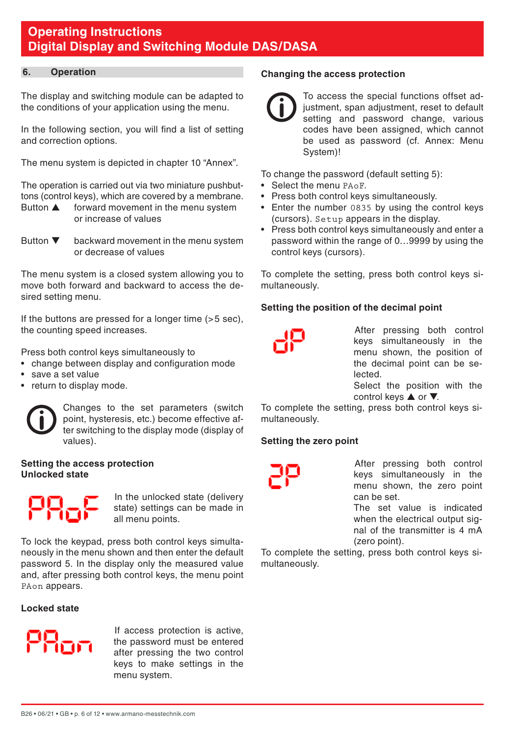#### <span id="page-5-0"></span>**6. Operation**

The display and switching module can be adapted to the conditions of your application using the menu.

In the following section, you will find a list of setting and correction options.

The menu system is depicted in chapter 10 "Annex".

The operation is carried out via two miniature pushbuttons (control keys), which are covered by a membrane.<br>Button **A** forward movement in the menu system

- forward movement in the menu system or increase of values
- Button  $\nabla$  backward movement in the menu system or decrease of values

The menu system is a closed system allowing you to move both forward and backward to access the desired setting menu.

If the buttons are pressed for a longer time (>5 sec). the counting speed increases.

Press both control keys simultaneously to

- change between display and configuration mode
- save a set value
- return to display mode.

Changes to the set parameters (switch point, hysteresis, etc.) become effective after switching to the display mode (display of values).

#### **Setting the access protection Unlocked state**



In the unlocked state (delivery state) settings can be made in all menu points.

To lock the keypad, press both control keys simultaneously in the menu shown and then enter the default password 5. In the display only the measured value and, after pressing both control keys, the menu point PAon appears.

#### **Locked state**



If access protection is active, the password must be entered after pressing the two control keys to make settings in the menu system.

#### **Changing the access protection**

To access the special functions offset adjustment, span adjustment, reset to default setting and password change, various codes have been assigned, which cannot be used as password (cf. Annex: Menu System)!

To change the password (default setting 5):

- Select the menu PAoF.
- Press both control keys simultaneously.
- Enter the number 0835 by using the control keys (cursors). Setup appears in the display.
- Press both control keys simultaneously and enter a password within the range of 0…9999 by using the control keys (cursors).

To complete the setting, press both control keys simultaneously.

#### **Setting the position of the decimal point**

After pressing both control keys simultaneously in the menu shown, the position of the decimal point can be selected.

Select the position with the control keys  $\triangle$  or  $\nabla$ .

To complete the setting, press both control keys simultaneously.

#### **Setting the zero point**

After pressing both control keys simultaneously in the menu shown, the zero point can be set.

The set value is indicated when the electrical output signal of the transmitter is 4 mA (zero point).

To complete the setting, press both control keys simultaneously.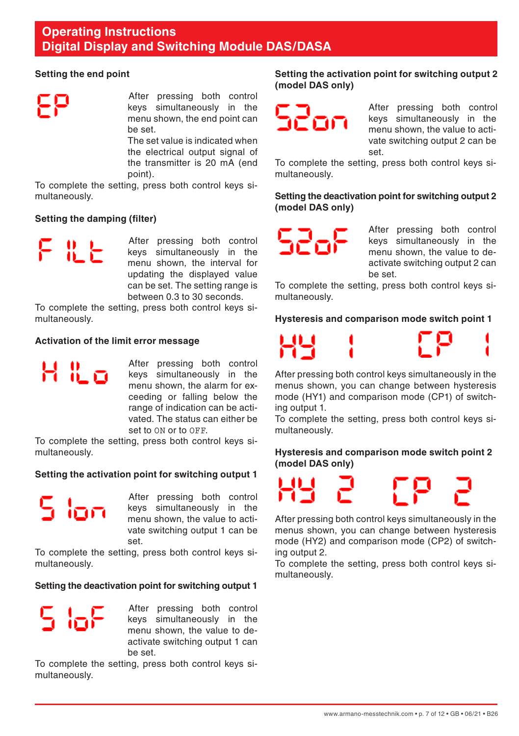#### **Setting the end point**

After pressing both control keys simultaneously in the menu shown, the end point can be set.

The set value is indicated when the electrical output signal of the transmitter is 20 mA (end point).

To complete the setting, press both control keys simultaneously.

#### **Setting the damping (filter)**

- X - Y

H H o

After pressing both control keys simultaneously in the menu shown, the interval for updating the displayed value can be set. The setting range is between 0.3 to 30 seconds.

To complete the setting, press both control keys simultaneously.

#### **Activation of the limit error message**

After pressing both control keys simultaneously in the menu shown, the alarm for exceeding or falling below the range of indication can be activated. The status can either be set to ON or to OFF.

To complete the setting, press both control keys simultaneously.

#### **Setting the activation point for switching output 1**

5 loo

After pressing both control keys simultaneously in the menu shown, the value to activate switching output 1 can be set.

To complete the setting, press both control keys simultaneously.

**Setting the deactivation point for switching output 1**

r lek

After pressing both control keys simultaneously in the menu shown, the value to deactivate switching output 1 can be set.

To complete the setting, press both control keys simultaneously.

**Setting the activation point for switching output 2 (model DAS only)**



After pressing both control keys simultaneously in the menu shown, the value to activate switching output 2 can be set.

To complete the setting, press both control keys simultaneously.

**Setting the deactivation point for switching output 2 (model DAS only)**



After pressing both control keys simultaneously in the menu shown, the value to deactivate switching output 2 can be set.

To complete the setting, press both control keys simultaneously.

**Hysteresis and comparison mode switch point 1**



After pressing both control keys simultaneously in the menus shown, you can change between hysteresis mode (HY1) and comparison mode (CP1) of switching output 1.

To complete the setting, press both control keys simultaneously.

#### **Hysteresis and comparison mode switch point 2 (model DAS only)**



After pressing both control keys simultaneously in the menus shown, you can change between hysteresis mode (HY2) and comparison mode (CP2) of switching output 2.

To complete the setting, press both control keys simultaneously.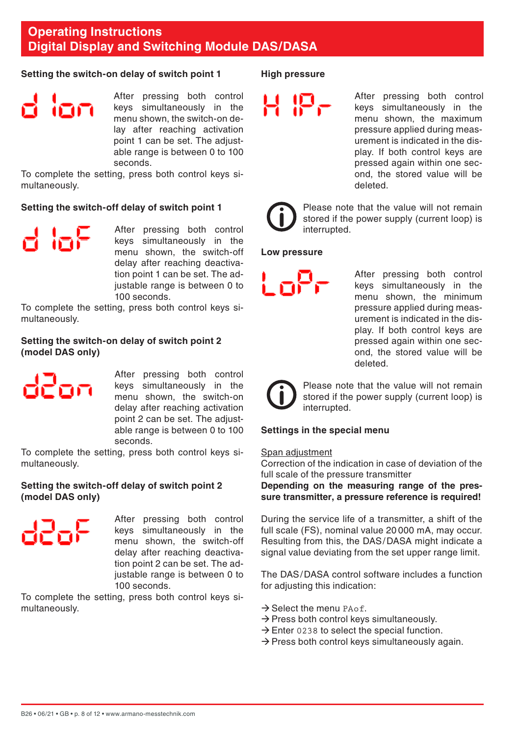#### **Setting the switch-on delay of switch point 1**

After pressing both control keys simultaneously in the menu shown, the switch-on delay after reaching activation point 1 can be set. The adjustable range is between 0 to 100 seconds.

To complete the setting, press both control keys simultaneously.

#### **Setting the switch-off delay of switch point 1**

d laF

After pressing both control keys simultaneously in the menu shown, the switch-off delay after reaching deactivation point 1 can be set. The adjustable range is between 0 to 100 seconds.

To complete the setting, press both control keys simultaneously.

#### **Setting the switch-on delay of switch point 2 (model DAS only)**



After pressing both control keys simultaneously in the menu shown, the switch-on delay after reaching activation point 2 can be set. The adjustable range is between 0 to 100 seconds.

To complete the setting, press both control keys simultaneously.

#### **Setting the switch-off delay of switch point 2 (model DAS only)**



After pressing both control keys simultaneously in the menu shown, the switch-off delay after reaching deactivation point 2 can be set. The adjustable range is between 0 to 100 seconds.

To complete the setting, press both control keys simultaneously.

#### **High pressure**

After pressing both control keys simultaneously in the menu shown, the maximum pressure applied during measurement is indicated in the display. If both control keys are pressed again within one second, the stored value will be deleted.



Please note that the value will not remain stored if the power supply (current loop) is interrupted.

#### **Low pressure**

After pressing both control keys simultaneously in the menu shown, the minimum pressure applied during measurement is indicated in the display. If both control keys are pressed again within one second, the stored value will be deleted.



Please note that the value will not remain stored if the power supply (current loop) is interrupted.

#### **Settings in the special menu**

#### Span adjustment

Correction of the indication in case of deviation of the full scale of the pressure transmitter

**Depending on the measuring range of the pressure transmitter, a pressure reference is required!**

During the service life of a transmitter, a shift of the full scale (FS), nominal value 20 000 mA, may occur. Resulting from this, the DAS/DASA might indicate a signal value deviating from the set upper range limit.

The DAS/DASA control software includes a function for adjusting this indication:

- $\rightarrow$  Select the menu PAof.
- $\rightarrow$  Press both control keys simultaneously.
- $\rightarrow$  Enter 0238 to select the special function.
- $\rightarrow$  Press both control keys simultaneously again.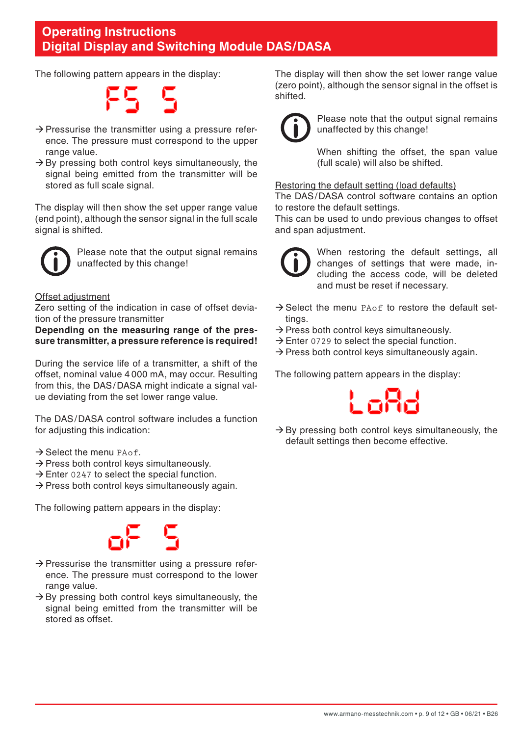The following pattern appears in the display:

E5 5

- $\rightarrow$  Pressurise the transmitter using a pressure reference. The pressure must correspond to the upper range value.
- $\rightarrow$  By pressing both control keys simultaneously, the signal being emitted from the transmitter will be stored as full scale signal.

The display will then show the set upper range value (end point), although the sensor signal in the full scale signal is shifted.



Please note that the output signal remains unaffected by this change!

#### Offset adjustment

Zero setting of the indication in case of offset deviation of the pressure transmitter

#### **Depending on the measuring range of the pressure transmitter, a pressure reference is required!**

During the service life of a transmitter, a shift of the offset, nominal value 4 000 mA, may occur. Resulting from this, the DAS/DASA might indicate a signal value deviating from the set lower range value.

The DAS/DASA control software includes a function for adjusting this indication:

- $\rightarrow$  Select the menu PAof.
- $\rightarrow$  Press both control keys simultaneously.
- $\rightarrow$  Enter 0247 to select the special function.
- $\rightarrow$  Press both control keys simultaneously again.

The following pattern appears in the display:



- $\rightarrow$  Pressurise the transmitter using a pressure reference. The pressure must correspond to the lower range value.
- $\rightarrow$  By pressing both control keys simultaneously, the signal being emitted from the transmitter will be stored as offset.

The display will then show the set lower range value (zero point), although the sensor signal in the offset is shifted.



Please note that the output signal remains unaffected by this change!

 When shifting the offset, the span value (full scale) will also be shifted.

#### Restoring the default setting (load defaults)

The DAS/DASA control software contains an option to restore the default settings.

This can be used to undo previous changes to offset and span adjustment.



When restoring the default settings, all changes of settings that were made, including the access code, will be deleted and must be reset if necessary.

- $\rightarrow$  Select the menu PAof to restore the default settings.
- $\rightarrow$  Press both control keys simultaneously.
- $\rightarrow$  Enter 0729 to select the special function.
- $\rightarrow$  Press both control keys simultaneously again.

The following pattern appears in the display:



 $\rightarrow$  By pressing both control keys simultaneously, the default settings then become effective.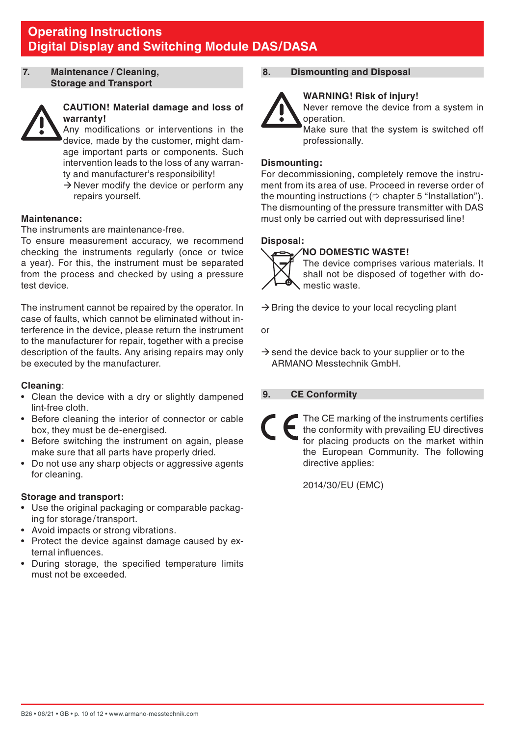<span id="page-9-0"></span>**7. Maintenance / Cleaning, Storage and Transport**



#### **CAUTION! Material damage and loss of warranty!**

 Any modifications or interventions in the device, made by the customer, might damage important parts or components. Such intervention leads to the loss of any warranty and manufacturer's responsibility!

 $\rightarrow$  Never modify the device or perform any repairs yourself.

#### **Maintenance:**

The instruments are maintenance-free.

To ensure measurement accuracy, we recommend checking the instruments regularly (once or twice a year). For this, the instrument must be separated from the process and checked by using a pressure test device.

The instrument cannot be repaired by the operator. In case of faults, which cannot be eliminated without interference in the device, please return the instrument to the manufacturer for repair, together with a precise description of the faults. Any arising repairs may only be executed by the manufacturer.

#### **Cleaning**:

- Clean the device with a dry or slightly dampened lint-free cloth.
- Before cleaning the interior of connector or cable box, they must be de-energised.
- Before switching the instrument on again, please make sure that all parts have properly dried.
- Do not use any sharp objects or aggressive agents for cleaning.

#### **Storage and transport:**

- Use the original packaging or comparable packaging for storage/transport.
- Avoid impacts or strong vibrations.
- Protect the device against damage caused by external influences.
- During storage, the specified temperature limits must not be exceeded.

#### **8. Dismounting and Disposal**



 **WARNING! Risk of injury!** Never remove the device from a system in operation.

 Make sure that the system is switched off professionally.

#### **Dismounting:**

For decommissioning, completely remove the instrument from its area of use. Proceed in reverse order of the mounting instructions  $(\Rightarrow$  chapter 5 "Installation"). The dismounting of the pressure transmitter with DAS must only be carried out with depressurised line!

#### **Disposal:**

#### **NO DOMESTIC WASTE!**

 The device comprises various materials. It shall not be disposed of together with domestic waste.

 $\rightarrow$  Bring the device to your local recycling plant

or

 $\rightarrow$  send the device back to your supplier or to the ARMANO Messtechnik GmbH.

#### **9. CE Conformity**

The CE marking of the instruments certifies the conformity with prevailing EU directives for placing products on the market within the European Community. The following directive applies:

2014/30/EU (EMC)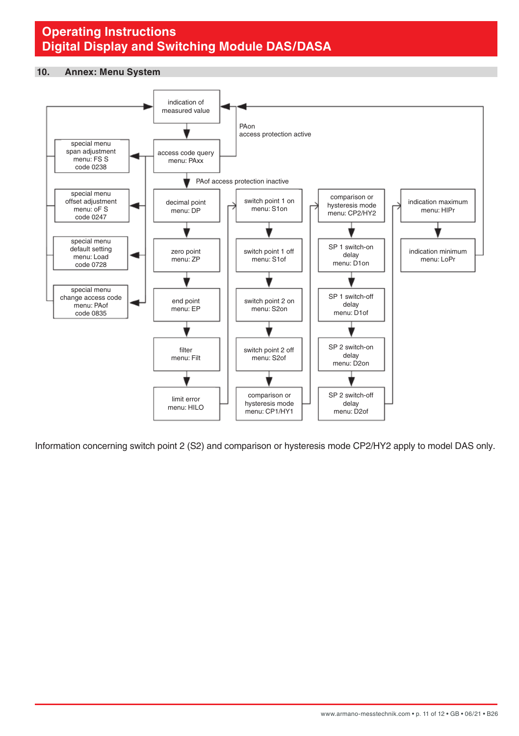#### <span id="page-10-0"></span>**10. Annex: Menu System**



Information concerning switch point 2 (S2) and comparison or hysteresis mode CP2/HY2 apply to model DAS only.